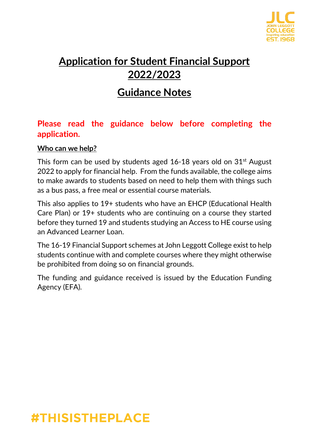

## **Application for Student Financial Support 2022/2023**

### **Guidance Notes**

### **Please read the guidance below before completing the application.**

### **Who can we help?**

This form can be used by students aged  $16-18$  years old on  $31<sup>st</sup>$  August 2022 to apply for financial help. From the funds available, the college aims to make awards to students based on need to help them with things such as a bus pass, a free meal or essential course materials.

This also applies to 19+ students who have an EHCP (Educational Health Care Plan) or 19+ students who are continuing on a course they started before they turned 19 and students studying an Access to HE course using an Advanced Learner Loan.

The 16-19 Financial Support schemes at John Leggott College exist to help students continue with and complete courses where they might otherwise be prohibited from doing so on financial grounds.

The funding and guidance received is issued by the Education Funding Agency (EFA).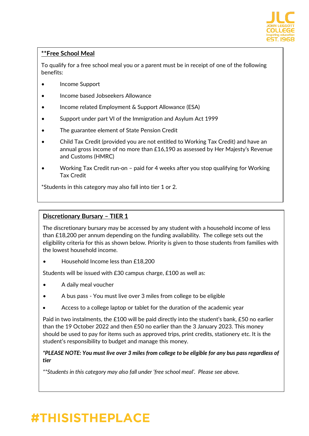

#### **\*\*Free School Meal**

To qualify for a free school meal you or a parent must be in receipt of one of the following benefits:

- Income Support
- Income based Jobseekers Allowance
- Income related Employment & Support Allowance (ESA)
- Support under part VI of the Immigration and Asylum Act 1999
- The guarantee element of State Pension Credit
- Child Tax Credit (provided you are not entitled to Working Tax Credit) and have an annual gross income of no more than £16,190 as assessed by Her Majesty's Revenue and Customs (HMRC)
- Working Tax Credit run-on paid for 4 weeks after you stop qualifying for Working Tax Credit

\*Students in this category may also fall into tier 1 or 2.

#### **Discretionary Bursary – TIER 1**

The discretionary bursary may be accessed by any student with a household income of less than £18,200 per annum depending on the funding availability. The college sets out the eligibility criteria for this as shown below. Priority is given to those students from families with the lowest household income.

• Household Income less than £18,200

Students will be issued with £30 campus charge, £100 as well as:

- A daily meal voucher
- A bus pass You must live over 3 miles from college to be eligible
- Access to a college laptop or tablet for the duration of the academic year

Paid in two instalments, the £100 will be paid directly into the student's bank, £50 no earlier than the 19 October 2022 and then £50 no earlier than the 3 January 2023. This money should be used to pay for items such as approved trips, print credits, stationery etc. It is the student's responsibility to budget and manage this money.

*\*PLEASE NOTE: You must live over 3 miles from college to be eligible for any bus pass regardless of tier*

*\*\*Students in this category may also fall under 'free school meal'. Please see above.*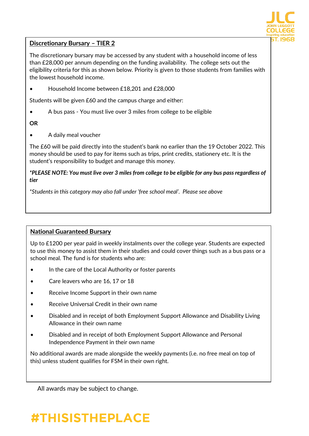

#### **Discretionary Bursary – TIER 2**

The discretionary bursary may be accessed by any student with a household income of less than £28,000 per annum depending on the funding availability. The college sets out the eligibility criteria for this as shown below. Priority is given to those students from families with the lowest household income.

• Household Income between £18,201 and £28,000

Students will be given £60 and the campus charge and either:

• A bus pass - You must live over 3 miles from college to be eligible

#### **OR**

• A daily meal voucher

The £60 will be paid directly into the student's bank no earlier than the 19 October 2022. This money should be used to pay for items such as trips, print credits, stationery etc. It is the student's responsibility to budget and manage this money.

#### *\*PLEASE NOTE: You must live over 3 miles from college to be eligible for any bus pass regardless of tier*

*\*Students in this category may also fall under 'free school meal'. Please see above*

#### **National Guaranteed Bursary**

Up to £1200 per year paid in weekly instalments over the college year. Students are expected to use this money to assist them in their studies and could cover things such as a bus pass or a school meal. The fund is for students who are:

- In the care of the Local Authority or foster parents
- Care leavers who are 16, 17 or 18
- Receive Income Support in their own name
- Receive Universal Credit in their own name
- Disabled and in receipt of both Employment Support Allowance and Disability Living Allowance in their own name
- Disabled and in receipt of both Employment Support Allowance and Personal Independence Payment in their own name

No additional awards are made alongside the weekly payments (i.e. no free meal on top of this) unless student qualifies for FSM in their own right.

All awards may be subject to change.